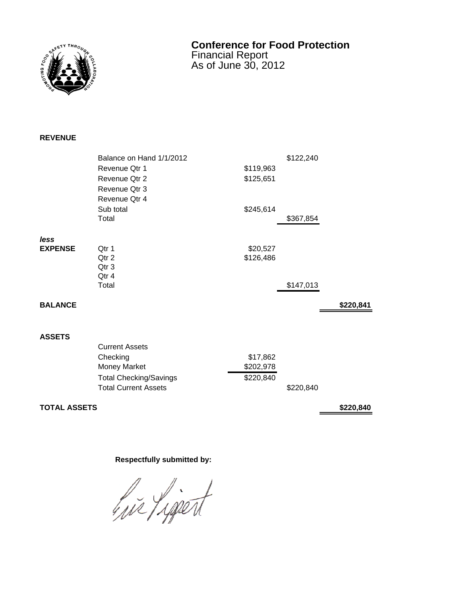

## **Conference for Food Protection** Financial Report

As of June 30, 2012

## **REVENUE**

|                | Balance on Hand 1/1/2012      |           | \$122,240 |           |
|----------------|-------------------------------|-----------|-----------|-----------|
|                | Revenue Qtr 1                 | \$119,963 |           |           |
|                | Revenue Qtr 2                 | \$125,651 |           |           |
|                | Revenue Qtr 3                 |           |           |           |
|                | Revenue Qtr 4                 |           |           |           |
|                | Sub total                     | \$245,614 |           |           |
|                | Total                         |           | \$367,854 |           |
| less           |                               |           |           |           |
| <b>EXPENSE</b> | Qtr 1                         | \$20,527  |           |           |
|                | Otr <sub>2</sub>              | \$126,486 |           |           |
|                | Qtr 3                         |           |           |           |
|                | Qtr 4                         |           |           |           |
|                | Total                         |           | \$147,013 |           |
| <b>BALANCE</b> |                               |           |           | \$220,841 |
|                |                               |           |           |           |
| <b>ASSETS</b>  |                               |           |           |           |
|                | <b>Current Assets</b>         |           |           |           |
|                | Checking                      | \$17,862  |           |           |
|                | Money Market                  | \$202,978 |           |           |
|                | <b>Total Checking/Savings</b> | \$220,840 |           |           |
|                | <b>Total Current Assets</b>   |           | \$220,840 |           |

## **TOTAL ASSETS \$220,840**

## **Respectfully submitted by:**

hir Ligent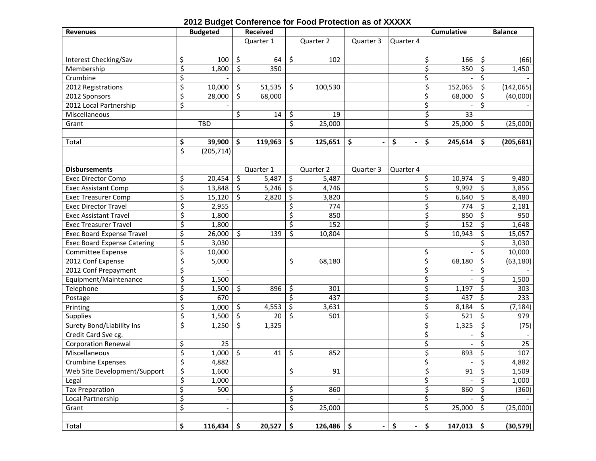|  |  | 2012 Budget Conference for Food Protection as of XXXXX |  |
|--|--|--------------------------------------------------------|--|
|--|--|--------------------------------------------------------|--|

| <b>Revenues</b>                    |         | <b>Budgeted</b>          | <b>Received</b> |     |              |           |                |                                 | <b>Cumulative</b> |         | <b>Balance</b> |
|------------------------------------|---------|--------------------------|-----------------|-----|--------------|-----------|----------------|---------------------------------|-------------------|---------|----------------|
|                                    |         |                          | Quarter 1       |     | Quarter 2    | Quarter 3 | Quarter 4      |                                 |                   |         |                |
|                                    |         |                          |                 |     |              |           |                |                                 |                   |         |                |
| Interest Checking/Sav              | \$      | 100                      | \$<br>64        | \$  | 102          |           |                | \$                              | 166               | \$      | (66)           |
| Membership                         | \$      | 1,800                    | \$<br>350       |     |              |           |                | \$                              | 350               | \$      | 1,450          |
| Crumbine                           | \$      |                          |                 |     |              |           |                | \$                              |                   | \$      |                |
| 2012 Registrations                 | \$      | 10,000                   | \$<br>51,535    | \$. | 100,530      |           |                | \$                              | 152,065           | \$      | (142, 065)     |
| 2012 Sponsors                      | \$      | 28,000                   | \$<br>68,000    |     |              |           |                | \$                              | 68,000            | \$      | (40,000)       |
| 2012 Local Partnership             | \$      |                          |                 |     |              |           |                | \$                              |                   | Ś       |                |
| Miscellaneous                      |         |                          | \$<br>14        | \$  | 19           |           |                | \$                              | 33                |         |                |
| Grant                              |         | <b>TBD</b>               |                 | \$  | 25,000       |           |                | \$                              | 25,000            | \$      | (25,000)       |
|                                    |         |                          |                 |     |              |           |                |                                 |                   |         |                |
| Total                              | \$      | 39,900                   | \$<br>119,963   | \$  | 125,651      | \$        | \$             | \$                              | 245,614           | \$.     | (205, 681)     |
|                                    | \$      | (205, 714)               |                 |     |              |           |                |                                 |                   |         |                |
|                                    |         |                          |                 |     |              |           |                |                                 |                   |         |                |
| <b>Disbursements</b>               |         |                          | Quarter 1       |     | Quarter 2    | Quarter 3 | Quarter 4      |                                 |                   |         |                |
| <b>Exec Director Comp</b>          | \$      | 20,454                   | \$<br>5,487     | \$  | 5,487        |           |                | \$                              | 10,974            | \$      | 9,480          |
| <b>Exec Assistant Comp</b>         | \$      | 13,848                   | \$<br>5,246     | \$  | 4,746        |           |                | \$                              | 9,992             | \$      | 3,856          |
| <b>Exec Treasurer Comp</b>         | \$      | 15,120                   | \$<br>2,820     | \$  | 3,820        |           |                | \$                              | 6,640             | \$      | 8,480          |
| <b>Exec Director Travel</b>        | \$      | 2,955                    |                 | \$  | 774          |           |                | \$                              | 774               | \$      | 2,181          |
| <b>Exec Assistant Travel</b>       | \$      | 1,800                    |                 | \$  | 850          |           |                | \$                              | 850               | \$      | 950            |
| <b>Exec Treasurer Travel</b>       | \$      | 1,800                    |                 | \$  | 152          |           |                | \$                              | 152               | \$      | 1,648          |
| <b>Exec Board Expense Travel</b>   | \$      | 26,000                   | \$<br>139       | \$  | 10,804       |           |                | \$                              | 10,943            | \$      | 15,057         |
| <b>Exec Board Expense Catering</b> | \$      | 3,030                    |                 |     |              |           |                |                                 |                   | Ś       | 3,030          |
| Committee Expense                  | \$      | 10,000                   |                 |     |              |           |                | \$                              |                   | \$      | 10,000         |
| 2012 Conf Expense                  | \$      | 5,000                    |                 | \$  | 68,180       |           |                | \$                              | 68,180            | \$      | (63, 180)      |
| 2012 Conf Prepayment               | \$      |                          |                 |     |              |           |                | \$                              |                   | \$      |                |
| Equipment/Maintenance              | \$      | 1,500                    |                 |     |              |           |                | \$                              |                   | \$      | 1,500          |
| Telephone                          | \$      | 1,500                    | \$<br>896       | \$  | 301          |           |                | \$                              | 1,197             | \$      | 303            |
| Postage                            | \$      | 670                      |                 | \$  | 437          |           |                | \$                              | 437               | Ś.      | 233            |
| Printing                           | \$      | 1,000                    | \$<br>4,553     | \$  | 3,631        |           |                | \$                              | 8,184             | \$      | (7, 184)       |
| <b>Supplies</b>                    | \$      | 1,500                    | \$<br>20        | \$  | 501          |           |                | \$                              | 521               | \$      | 979            |
| <b>Surety Bond/Liability Ins</b>   | \$      | 1,250                    | \$<br>1,325     |     |              |           |                | \$                              | 1,325             | \$      | (75)           |
| Credit Card Sve cg.                |         |                          |                 |     |              |           |                | \$                              |                   | Ś       |                |
| <b>Corporation Renewal</b>         | \$      | 25                       |                 |     |              |           |                | \$                              |                   |         | 25             |
| Miscellaneous                      | \$      | 1,000                    | \$<br>41        | \$  | 852          |           |                | \$                              | 893               | \$      | 107            |
| <b>Crumbine Expenses</b>           | $\zeta$ | 4,882                    |                 |     |              |           |                | $\mathsf{\hat{S}}$              |                   | $\zeta$ | 4,882          |
| Web Site Development/Support       | \$      | 1,600                    |                 | \$  | 91           |           |                | \$                              | 91                | \$      | 1,509          |
| Legal                              | \$      | 1,000                    |                 |     |              |           |                | \$                              |                   |         | 1,000          |
| <b>Tax Preparation</b>             | \$      | 500                      |                 | \$  | 860          |           |                | \$                              | 860               | \$      | (360)          |
| Local Partnership                  | \$      |                          |                 | \$  |              |           |                | \$                              |                   | Ś       |                |
| Grant                              | \$      | $\overline{\phantom{a}}$ |                 | \$  | 25,000       |           |                | \$                              | 25,000            | \$      | (25,000)       |
|                                    |         |                          |                 |     |              |           |                |                                 |                   |         |                |
| Total                              | \$      | $116,434$ \$             | $20,527$ \$     |     | $126,486$ \$ |           | $-$ \$<br>$-1$ | $\overline{\boldsymbol{\zeta}}$ | $147,013$ \$      |         | (30, 579)      |